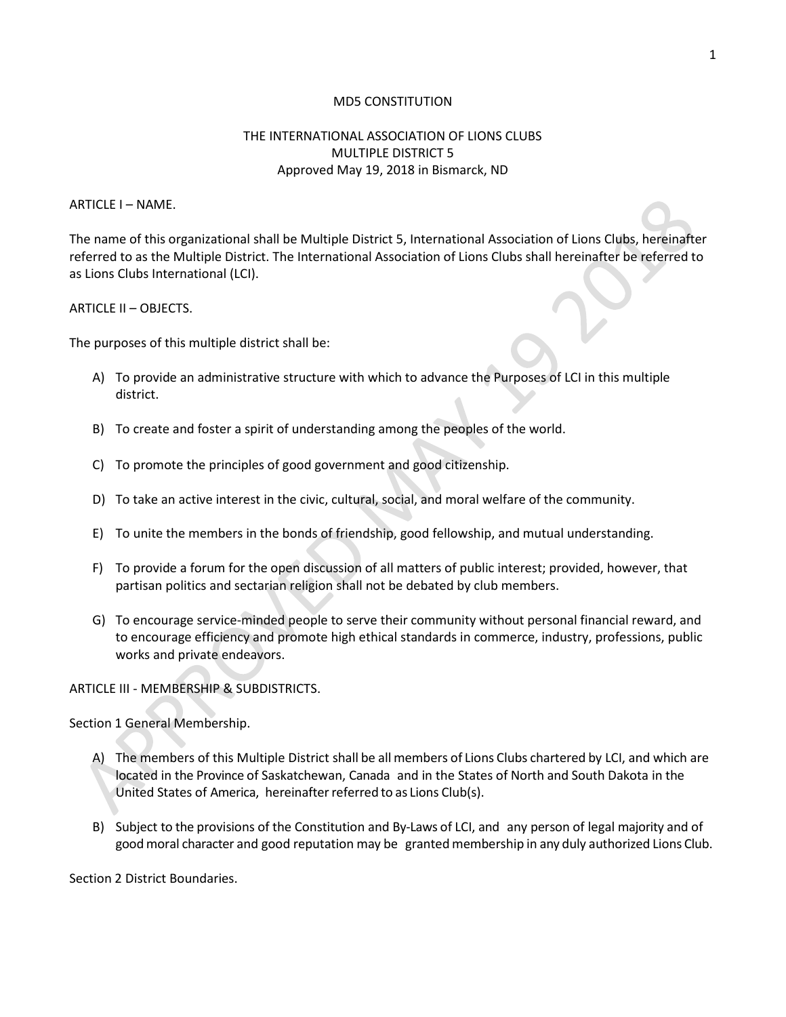#### MD5 CONSTITUTION

### THE INTERNATIONAL ASSOCIATION OF LIONS CLUBS MULTIPLE DISTRICT 5 Approved May 19, 2018 in Bismarck, ND

ARTICLE I – NAME.

The name of this organizational shall be Multiple District 5, International Association of Lions Clubs, hereinafter referred to as the Multiple District. The International Association of Lions Clubs shall hereinafter be referred to as Lions Clubs International (LCI).

#### ARTICLE II – OBJECTS.

The purposes of this multiple district shall be:

- A) To provide an administrative structure with which to advance the Purposes of LCI in this multiple district.
- B) To create and foster a spirit of understanding among the peoples of the world.
- C) To promote the principles of good government and good citizenship.
- D) To take an active interest in the civic, cultural, social, and moral welfare of the community.
- E) To unite the members in the bonds of friendship, good fellowship, and mutual understanding.
- F) To provide a forum for the open discussion of all matters of public interest; provided, however, that partisan politics and sectarian religion shall not be debated by club members.
- G) To encourage service-minded people to serve their community without personal financial reward, and to encourage efficiency and promote high ethical standards in commerce, industry, professions, public works and private endeavors.

#### ARTICLE III - MEMBERSHIP & SUBDISTRICTS.

Section 1 General Membership.

- A) The members of this Multiple District shall be allmembers of Lions Clubs chartered by LCI, and which are located in the Province of Saskatchewan, Canada and in the States of North and South Dakota in the United States of America, hereinafter referred to as Lions Club(s).
- B) Subject to the provisions of the Constitution and By-Laws of LCI, and any person of legal majority and of goodmoral character and good reputation may be granted membership in any duly authorized Lions Club.

Section 2 District Boundaries.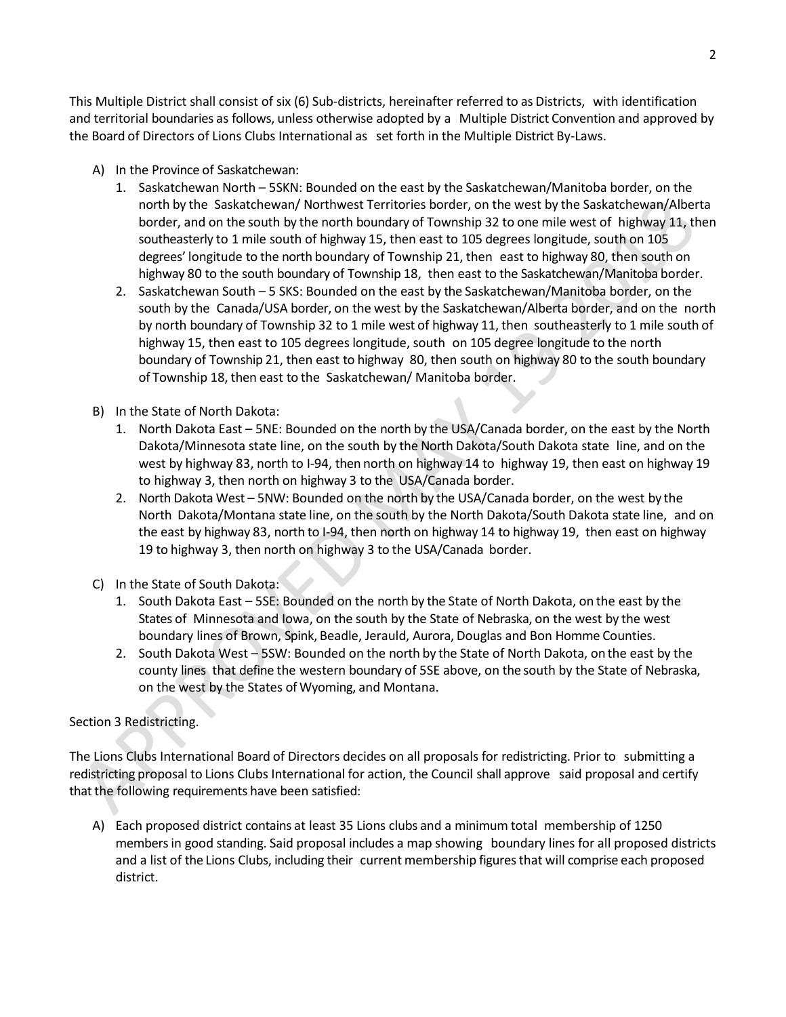This Multiple District shall consist of six (6) Sub-districts, hereinafter referred to as Districts, with identification and territorial boundaries as follows, unless otherwise adopted by a Multiple District Convention and approved by the Board of Directors of Lions Clubs International as set forth in the Multiple District By-Laws.

- A) In the Province of Saskatchewan:
	- 1. Saskatchewan North 5SKN: Bounded on the east by the Saskatchewan/Manitoba border, on the north by the Saskatchewan/ Northwest Territories border, on the west by the Saskatchewan/Alberta border, and on the south by the north boundary of Township 32 to one mile west of highway 11, then southeasterly to 1 mile south of highway 15, then east to 105 degrees longitude, south on 105 degrees' longitude to the north boundary of Township 21, then east to highway 80, then south on highway 80 to the south boundary of Township 18, then east to the Saskatchewan/Manitoba border.
	- 2. Saskatchewan South 5 SKS: Bounded on the east by the Saskatchewan/Manitoba border, on the south by the Canada/USA border, on the west by the Saskatchewan/Alberta border, and on the north by north boundary of Township 32 to 1 mile west of highway 11, then southeasterly to 1 mile south of highway 15, then east to 105 degrees longitude, south on 105 degree longitude to the north boundary of Township 21, then east to highway 80, then south on highway 80 to the south boundary of Township 18, then east to the Saskatchewan/ Manitoba border.
- B) In the State of North Dakota:
	- 1. North Dakota East 5NE: Bounded on the north by the USA/Canada border, on the east by the North Dakota/Minnesota state line, on the south by the North Dakota/South Dakota state line, and on the west by highway 83, north to I-94, then north on highway 14 to highway 19, then east on highway 19 to highway 3, then north on highway 3 to the USA/Canada border.
	- 2. North Dakota West 5NW: Bounded on the north by the USA/Canada border, on the west by the North Dakota/Montana state line, on the south by the North Dakota/South Dakota state line, and on the east by highway 83, north to I-94, then north on highway 14 to highway 19, then east on highway 19 to highway 3, then north on highway 3 to the USA/Canada border.
- C) In the State of South Dakota:
	- 1. South Dakota East 5SE: Bounded on the north by the State of North Dakota, on the east by the States of Minnesota and Iowa, on the south by the State of Nebraska, on the west by the west boundary lines of Brown, Spink, Beadle, Jerauld, Aurora, Douglas and Bon Homme Counties.
	- 2. South Dakota West 5SW: Bounded on the north by the State of North Dakota, on the east by the county lines that define the western boundary of 5SE above, on the south by the State of Nebraska, on the west by the States of Wyoming, and Montana.

# Section 3 Redistricting.

The Lions Clubs International Board of Directors decides on all proposals for redistricting. Prior to submitting a redistricting proposal to Lions Clubs International for action, the Council shall approve said proposal and certify that the following requirements have been satisfied:

A) Each proposed district contains at least 35 Lions clubs and a minimum total membership of 1250 membersin good standing. Said proposal includes a map showing boundary lines for all proposed districts and a list of the Lions Clubs, including their current membership figures that will comprise each proposed district.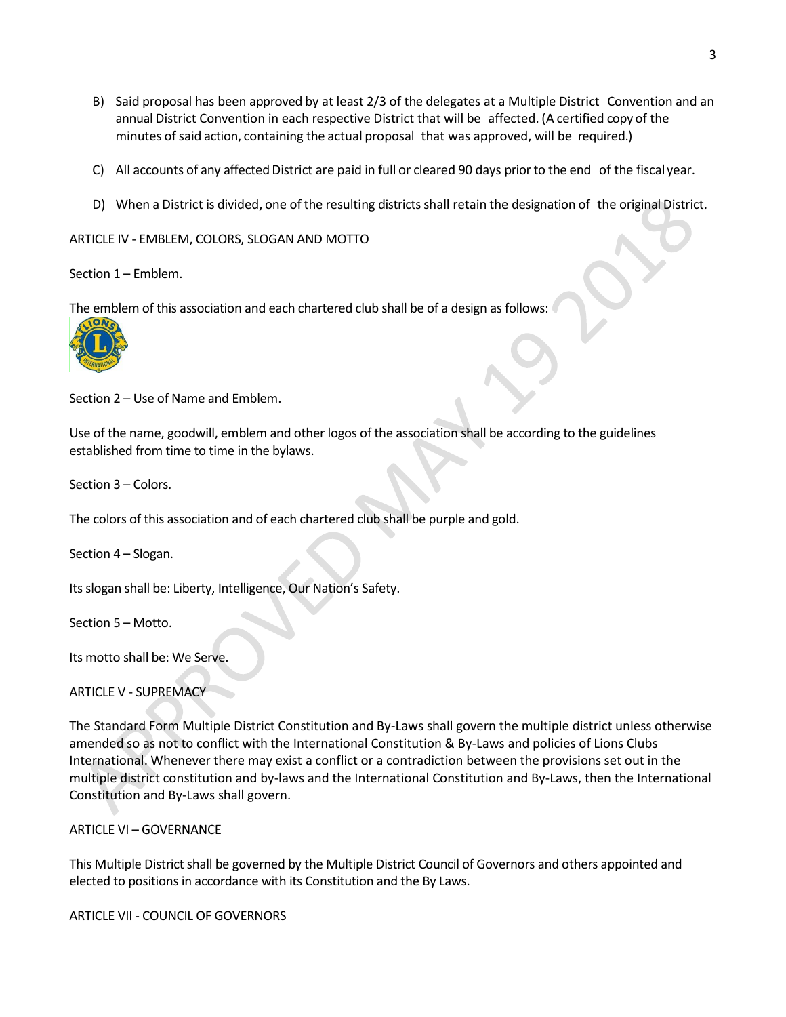- B) Said proposal has been approved by at least 2/3 of the delegates at a Multiple District Convention and an annual District Convention in each respective District that will be affected. (A certified copy of the minutes ofsaid action, containing the actual proposal that was approved, will be required.)
- C) All accounts of any affected District are paid in full or cleared 90 days prior to the end of the fiscal year.
- D) When a District is divided, one of the resulting districts shall retain the designation of the original District.

ARTICLE IV - EMBLEM, COLORS, SLOGAN AND MOTTO

Section 1 – Emblem.

The emblem of this association and each chartered club shall be of a design as follows:



Section 2 – Use of Name and Emblem.

Use of the name, goodwill, emblem and other logos of the association shall be according to the guidelines established from time to time in the bylaws.

Section 3 – Colors.

The colors of this association and of each chartered club shall be purple and gold.

Section 4 – Slogan.

Its slogan shall be: Liberty, Intelligence, Our Nation's Safety.

Section 5 – Motto.

Its motto shall be: We Serve.

ARTICLE V - SUPREMACY

The Standard Form Multiple District Constitution and By-Laws shall govern the multiple district unless otherwise amended so as not to conflict with the International Constitution & By-Laws and policies of Lions Clubs International. Whenever there may exist a conflict or a contradiction between the provisions set out in the multiple district constitution and by-laws and the International Constitution and By-Laws, then the International Constitution and By-Laws shall govern.

ARTICLE VI – GOVERNANCE

This Multiple District shall be governed by the Multiple District Council of Governors and others appointed and elected to positions in accordance with its Constitution and the By Laws.

ARTICLE VII - COUNCIL OF GOVERNORS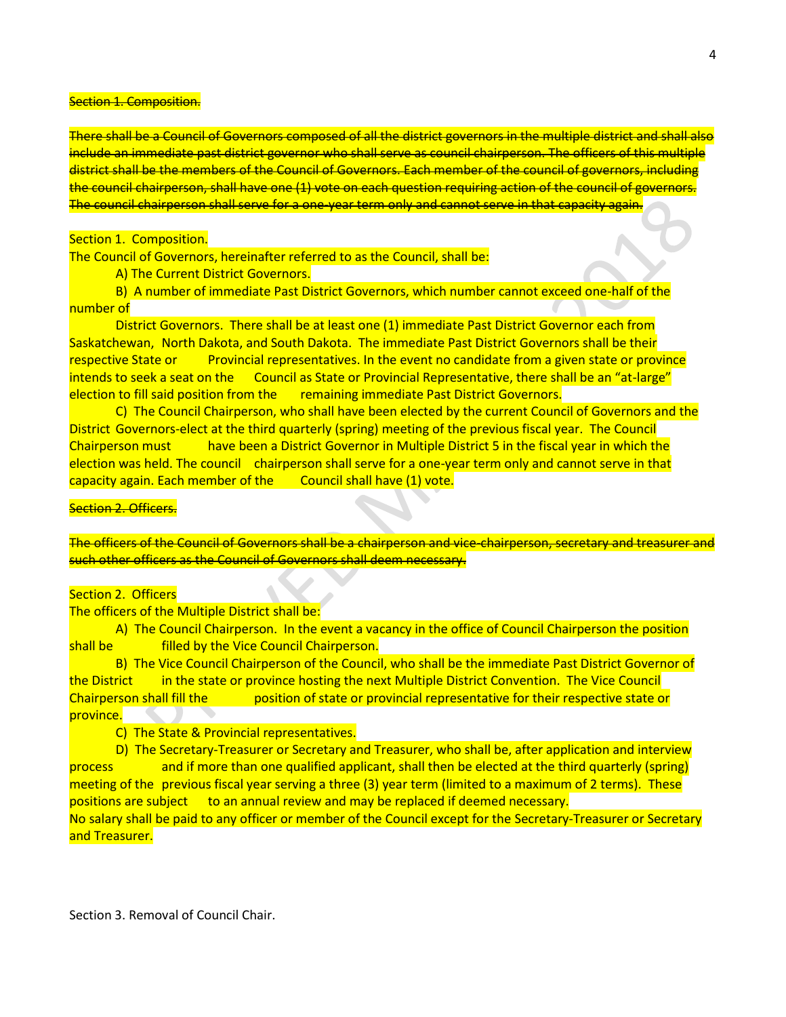#### **Section 1. Composition.**

There shall be a Council of Governors composed of all the district governors in the multiple district and shall also include an immediate past district governor who shall serve as council chairperson. The officers of this multiple district shall be the members of the Council of Governors. Each member of the council of governors, including the council chairperson, shall have one (1) vote on each question requiring action of the council of governors. The council chairperson shall serve for a one-year term only and cannot serve in that capacity again.

#### Section 1. Composition.

The Council of Governors, hereinafter referred to as the Council, shall be:

A) The Current District Governors.

B) A number of immediate Past District Governors, which number cannot exceed one-half of the number of

District Governors. There shall be at least one (1) immediate Past District Governor each from Saskatchewan, North Dakota, and South Dakota. The immediate Past District Governors shall be their respective State or Provincial representatives. In the event no candidate from a given state or province intends to seek a seat on the Council as State or Provincial Representative, there shall be an "at-large" election to fill said position from the remaining immediate Past District Governors.

C) The Council Chairperson, who shall have been elected by the current Council of Governors and the District Governors-elect at the third quarterly (spring) meeting of the previous fiscal year. The Council Chairperson must have been a District Governor in Multiple District 5 in the fiscal year in which the election was held. The council chairperson shall serve for a one-year term only and cannot serve in that capacity again. Each member of the Council shall have (1) vote.

### **Section 2. Officers.**

The officers of the Council of Governors shall be a chairperson and vice-chairperson, secretary and treasurer and such other officers as the Council of Governors shall deem necessary.

#### Section 2. Officers

The officers of the Multiple District shall be:

A) The Council Chairperson. In the event a vacancy in the office of Council Chairperson the position shall be **filled by the Vice Council Chairperson.** 

B) The Vice Council Chairperson of the Council, who shall be the immediate Past District Governor of the District in the state or province hosting the next Multiple District Convention. The Vice Council Chairperson shall fill the position of state or provincial representative for their respective state or province.

C) The State & Provincial representatives.

D) The Secretary-Treasurer or Secretary and Treasurer, who shall be, after application and interview process and if more than one qualified applicant, shall then be elected at the third quarterly (spring) meeting of the previous fiscal year serving a three (3) year term (limited to a maximum of 2 terms). These positions are subject to an annual review and may be replaced if deemed necessary. No salary shall be paid to any officer or member of the Council except for the Secretary-Treasurer or Secretary

#### and Treasurer.

Section 3. Removal of Council Chair.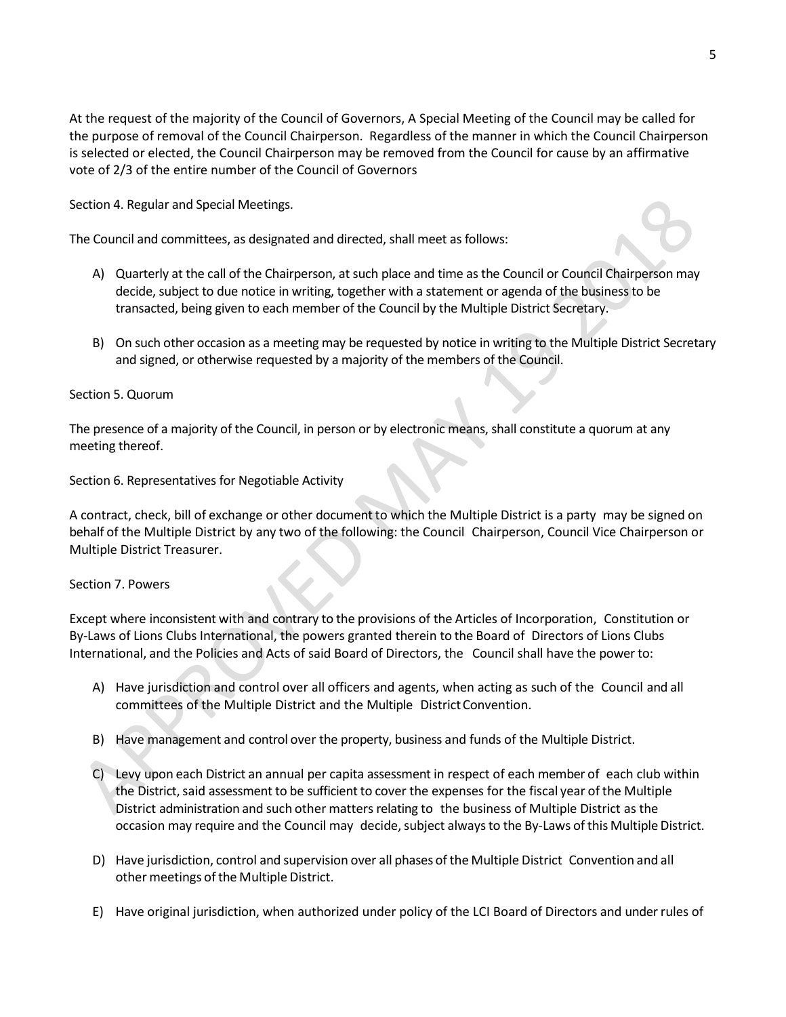At the request of the majority of the Council of Governors, A Special Meeting of the Council may be called for the purpose of removal of the Council Chairperson. Regardless of the manner in which the Council Chairperson is selected or elected, the Council Chairperson may be removed from the Council for cause by an affirmative vote of 2/3 of the entire number of the Council of Governors

Section 4. Regular and Special Meetings.

The Council and committees, as designated and directed, shall meet as follows:

- A) Quarterly at the call of the Chairperson, at such place and time as the Council or Council Chairperson may decide, subject to due notice in writing, together with a statement or agenda of the business to be transacted, being given to each member of the Council by the Multiple District Secretary.
- B) On such other occasion as a meeting may be requested by notice in writing to the Multiple District Secretary and signed, or otherwise requested by a majority of the members of the Council.

## Section 5. Quorum

The presence of a majority of the Council, in person or by electronic means, shall constitute a quorum at any meeting thereof.

Section 6. Representatives for Negotiable Activity

A contract, check, bill of exchange or other document to which the Multiple District is a party may be signed on behalf of the Multiple District by any two of the following: the Council Chairperson, Council Vice Chairperson or Multiple District Treasurer.

### Section 7. Powers

Except where inconsistent with and contrary to the provisions of the Articles of Incorporation, Constitution or By-Laws of Lions Clubs International, the powers granted therein to the Board of Directors of Lions Clubs International, and the Policies and Acts of said Board of Directors, the Council shall have the power to:

- A) Have jurisdiction and control over all officers and agents, when acting as such of the Council and all committees of the Multiple District and the Multiple District Convention.
- B) Have management and control over the property, business and funds of the Multiple District.
- C) Levy upon each District an annual per capita assessment in respect of each member of each club within the District, said assessment to be sufficient to cover the expenses for the fiscal year of the Multiple District administration and such other matters relating to the business of Multiple District as the occasion may require and the Council may decide, subject always to the By-Laws of this Multiple District.
- D) Have jurisdiction, control and supervision over all phases ofthe Multiple District Convention and all other meetings of the Multiple District.
- E) Have original jurisdiction, when authorized under policy of the LCI Board of Directors and under rules of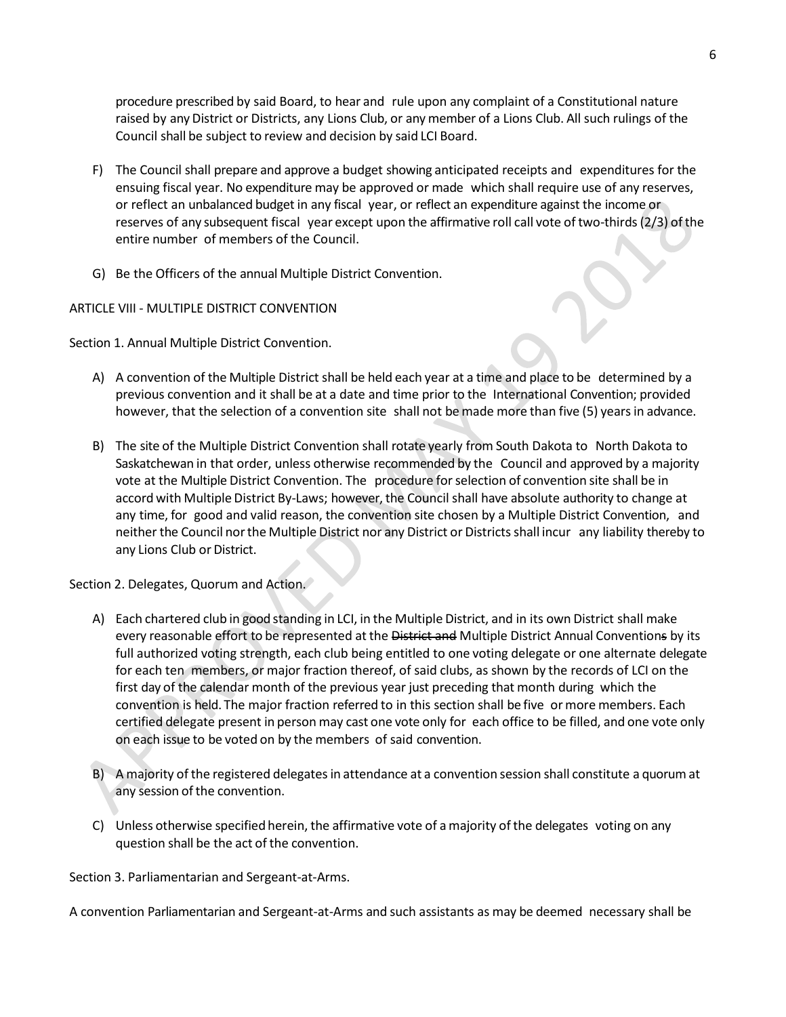procedure prescribed by said Board, to hear and rule upon any complaint of a Constitutional nature raised by any District or Districts, any Lions Club, or any member of a Lions Club. All such rulings of the Council shall be subject to review and decision by said LCI Board.

- F) The Council shall prepare and approve a budget showing anticipated receipts and expenditures for the ensuing fiscal year. No expenditure may be approved or made which shall require use of any reserves, or reflect an unbalanced budget in any fiscal year, or reflect an expenditure against the income or reserves of any subsequent fiscal year except upon the affirmative roll call vote of two-thirds(2/3) ofthe entire number of members of the Council.
- G) Be the Officers of the annual Multiple District Convention.

## ARTICLE VIII - MULTIPLE DISTRICT CONVENTION

Section 1. Annual Multiple District Convention.

- A) A convention of the Multiple District shall be held each year at a time and place to be determined by a previous convention and it shall be at a date and time prior to the International Convention; provided however, that the selection of a convention site shall not be made more than five (5) years in advance.
- B) The site of the Multiple District Convention shall rotate yearly from South Dakota to North Dakota to Saskatchewan in that order, unless otherwise recommended by the Council and approved by a majority vote at the Multiple District Convention. The procedure forselection of convention site shall be in accord with Multiple District By-Laws; however, the Council shall have absolute authority to change at any time, for good and valid reason, the convention site chosen by a Multiple District Convention, and neither the Council nor the Multiple District nor any District or Districts shall incur any liability thereby to any Lions Club or District.

Section 2. Delegates, Quorum and Action.

- A) Each chartered club in good standing in LCI, in the Multiple District, and in its own District shall make every reasonable effort to be represented at the District and Multiple District Annual Conventions by its full authorized voting strength, each club being entitled to one voting delegate or one alternate delegate for each ten members, or major fraction thereof, of said clubs, as shown by the records of LCI on the first day of the calendar month of the previous year just preceding that month during which the convention is held. The major fraction referred to in this section shall be five or more members. Each certified delegate present in person may cast one vote only for each office to be filled, and one vote only on each issue to be voted on by the members of said convention.
- B) A majority of the registered delegates in attendance at a convention session shall constitute a quorum at any session of the convention.
- C) Unless otherwise specified herein, the affirmative vote of a majority ofthe delegates voting on any question shall be the act of the convention.

Section 3. Parliamentarian and Sergeant-at-Arms.

A convention Parliamentarian and Sergeant-at-Arms and such assistants as may be deemed necessary shall be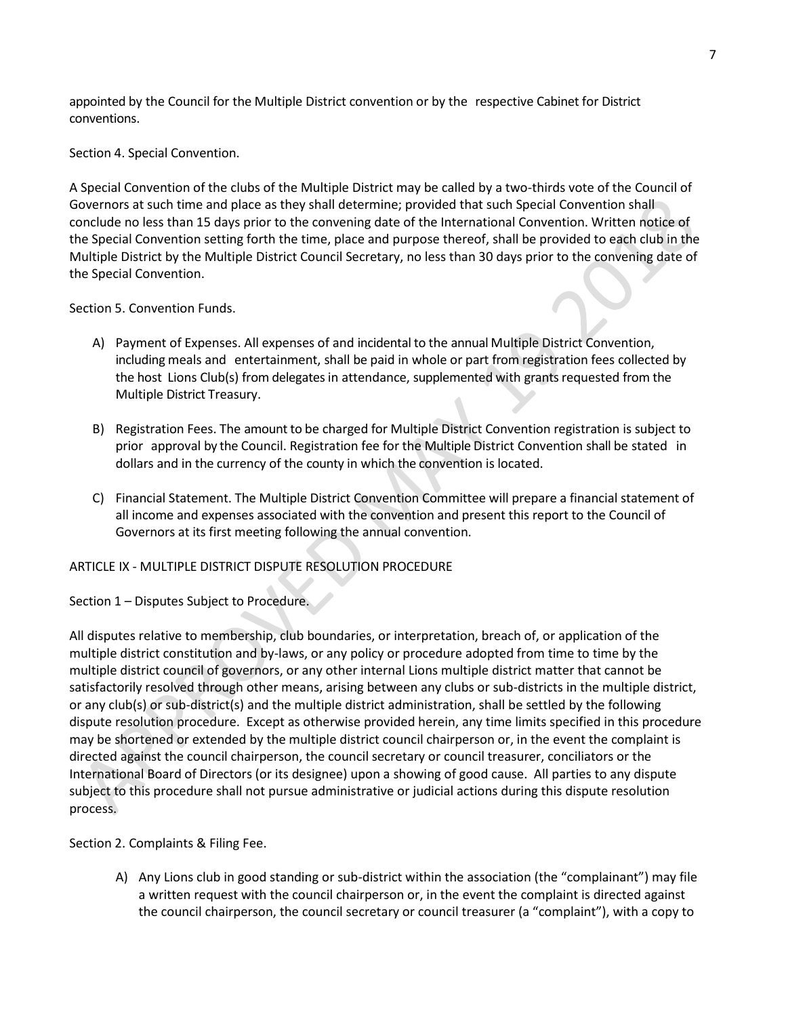appointed by the Council for the Multiple District convention or by the respective Cabinet for District conventions.

Section 4. Special Convention.

A Special Convention of the clubs of the Multiple District may be called by a two-thirds vote of the Council of Governors at such time and place as they shall determine; provided that such Special Convention shall conclude no less than 15 days prior to the convening date of the International Convention. Written notice of the Special Convention setting forth the time, place and purpose thereof, shall be provided to each club in the Multiple District by the Multiple District Council Secretary, no less than 30 days prior to the convening date of the Special Convention.

Section 5. Convention Funds.

- A) Payment of Expenses. All expenses of and incidental to the annual Multiple District Convention, including meals and entertainment, shall be paid in whole or part from registration fees collected by the host Lions Club(s) from delegates in attendance, supplemented with grants requested from the Multiple District Treasury.
- B) Registration Fees. The amount to be charged for Multiple District Convention registration is subject to prior approval by the Council. Registration fee for the Multiple District Convention shall be stated in dollars and in the currency of the county in which the convention is located.
- C) Financial Statement. The Multiple District Convention Committee will prepare a financial statement of all income and expenses associated with the convention and present this report to the Council of Governors at its first meeting following the annual convention.

### ARTICLE IX - MULTIPLE DISTRICT DISPUTE RESOLUTION PROCEDURE

Section 1 – Disputes Subject to Procedure.

All disputes relative to membership, club boundaries, or interpretation, breach of, or application of the multiple district constitution and by-laws, or any policy or procedure adopted from time to time by the multiple district council of governors, or any other internal Lions multiple district matter that cannot be satisfactorily resolved through other means, arising between any clubs or sub-districts in the multiple district, or any club(s) or sub-district(s) and the multiple district administration, shall be settled by the following dispute resolution procedure. Except as otherwise provided herein, any time limits specified in this procedure may be shortened or extended by the multiple district council chairperson or, in the event the complaint is directed against the council chairperson, the council secretary or council treasurer, conciliators or the International Board of Directors (or its designee) upon a showing of good cause. All parties to any dispute subject to this procedure shall not pursue administrative or judicial actions during this dispute resolution process.

Section 2. Complaints & Filing Fee.

A) Any Lions club in good standing or sub-district within the association (the "complainant") may file a written request with the council chairperson or, in the event the complaint is directed against the council chairperson, the council secretary or council treasurer (a "complaint"), with a copy to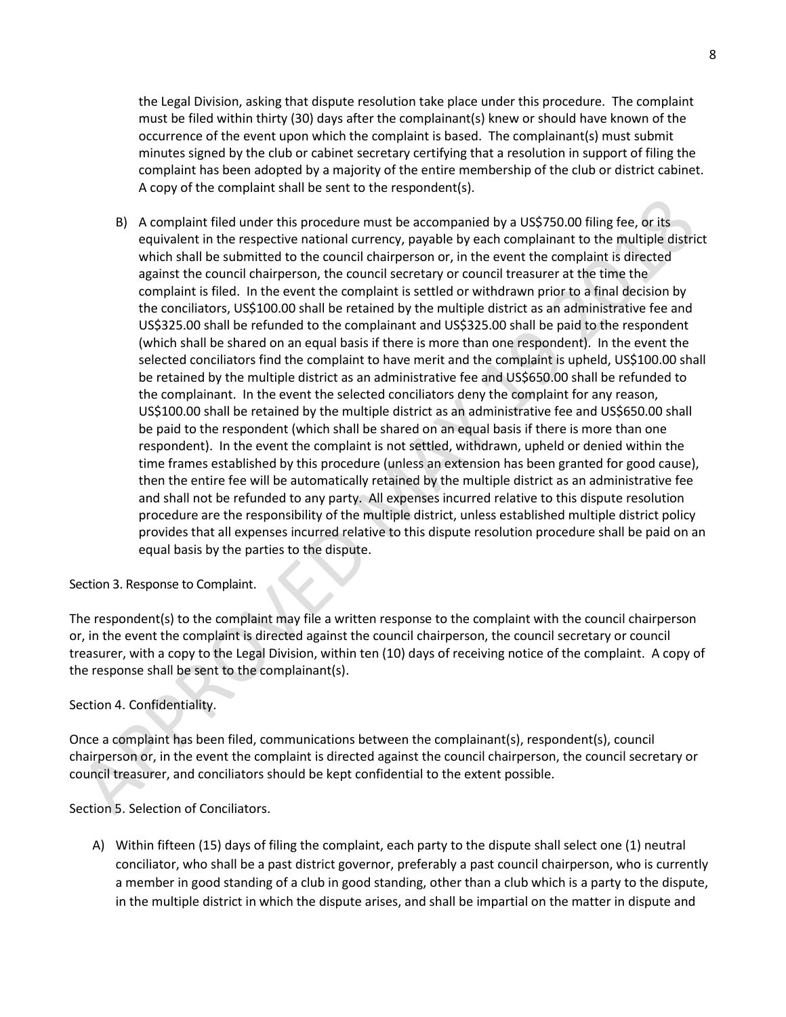the Legal Division, asking that dispute resolution take place under this procedure. The complaint must be filed within thirty (30) days after the complainant(s) knew or should have known of the occurrence of the event upon which the complaint is based. The complainant(s) must submit minutes signed by the club or cabinet secretary certifying that a resolution in support of filing the complaint has been adopted by a majority of the entire membership of the club or district cabinet. A copy of the complaint shall be sent to the respondent(s).

B) A complaint filed under this procedure must be accompanied by a US\$750.00 filing fee, or its equivalent in the respective national currency, payable by each complainant to the multiple district which shall be submitted to the council chairperson or, in the event the complaint is directed against the council chairperson, the council secretary or council treasurer at the time the complaint is filed. In the event the complaint is settled or withdrawn prior to a final decision by the conciliators, US\$100.00 shall be retained by the multiple district as an administrative fee and US\$325.00 shall be refunded to the complainant and US\$325.00 shall be paid to the respondent (which shall be shared on an equal basis if there is more than one respondent). In the event the selected conciliators find the complaint to have merit and the complaint is upheld, US\$100.00 shall be retained by the multiple district as an administrative fee and US\$650.00 shall be refunded to the complainant. In the event the selected conciliators deny the complaint for any reason, US\$100.00 shall be retained by the multiple district as an administrative fee and US\$650.00 shall be paid to the respondent (which shall be shared on an equal basis if there is more than one respondent). In the event the complaint is not settled, withdrawn, upheld or denied within the time frames established by this procedure (unless an extension has been granted for good cause), then the entire fee will be automatically retained by the multiple district as an administrative fee and shall not be refunded to any party. All expenses incurred relative to this dispute resolution procedure are the responsibility of the multiple district, unless established multiple district policy provides that all expenses incurred relative to this dispute resolution procedure shall be paid on an equal basis by the parties to the dispute.

Section 3. Response to Complaint.

The respondent(s) to the complaint may file a written response to the complaint with the council chairperson or, in the event the complaint is directed against the council chairperson, the council secretary or council treasurer, with a copy to the Legal Division, within ten (10) days of receiving notice of the complaint. A copy of the response shall be sent to the complainant(s).

# Section 4. Confidentiality.

Once a complaint has been filed, communications between the complainant(s), respondent(s), council chairperson or, in the event the complaint is directed against the council chairperson, the council secretary or council treasurer, and conciliators should be kept confidential to the extent possible.

Section 5. Selection of Conciliators.

A) Within fifteen (15) days of filing the complaint, each party to the dispute shall select one (1) neutral conciliator, who shall be a past district governor, preferably a past council chairperson, who is currently a member in good standing of a club in good standing, other than a club which is a party to the dispute, in the multiple district in which the dispute arises, and shall be impartial on the matter in dispute and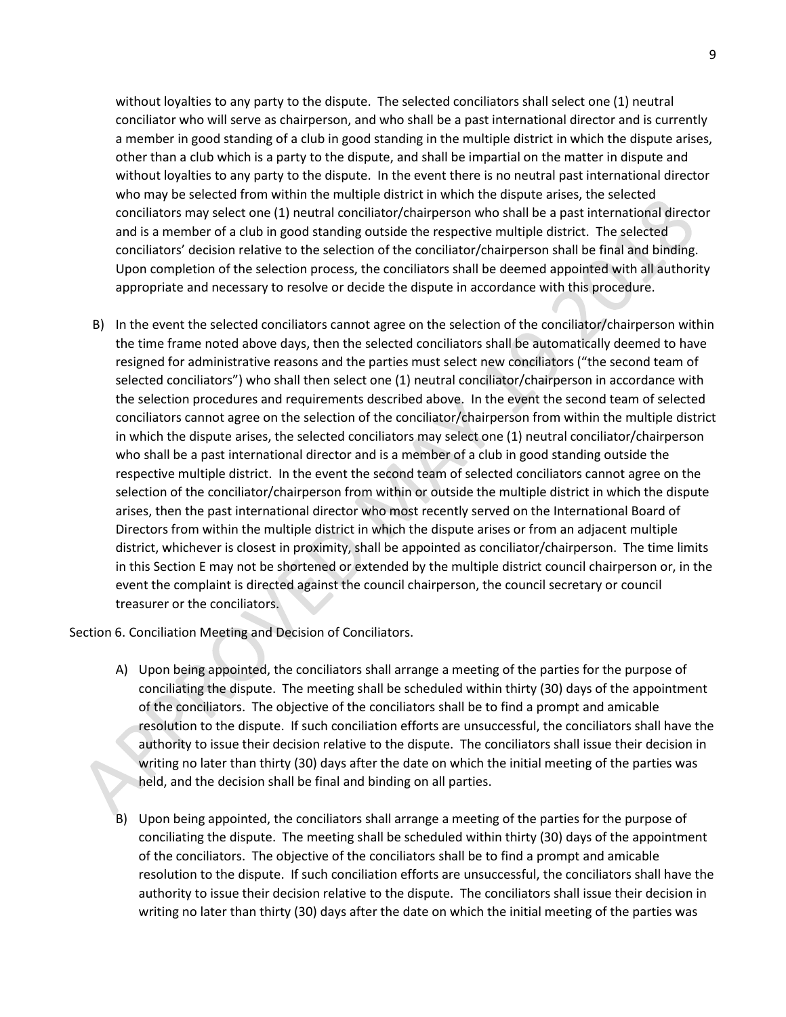without loyalties to any party to the dispute. The selected conciliators shall select one (1) neutral conciliator who will serve as chairperson, and who shall be a past international director and is currently a member in good standing of a club in good standing in the multiple district in which the dispute arises, other than a club which is a party to the dispute, and shall be impartial on the matter in dispute and without loyalties to any party to the dispute. In the event there is no neutral past international director who may be selected from within the multiple district in which the dispute arises, the selected conciliators may select one (1) neutral conciliator/chairperson who shall be a past international director and is a member of a club in good standing outside the respective multiple district. The selected conciliators' decision relative to the selection of the conciliator/chairperson shall be final and binding. Upon completion of the selection process, the conciliators shall be deemed appointed with all authority appropriate and necessary to resolve or decide the dispute in accordance with this procedure.

B) In the event the selected conciliators cannot agree on the selection of the conciliator/chairperson within the time frame noted above days, then the selected conciliators shall be automatically deemed to have resigned for administrative reasons and the parties must select new conciliators ("the second team of selected conciliators") who shall then select one (1) neutral conciliator/chairperson in accordance with the selection procedures and requirements described above. In the event the second team of selected conciliators cannot agree on the selection of the conciliator/chairperson from within the multiple district in which the dispute arises, the selected conciliators may select one (1) neutral conciliator/chairperson who shall be a past international director and is a member of a club in good standing outside the respective multiple district. In the event the second team of selected conciliators cannot agree on the selection of the conciliator/chairperson from within or outside the multiple district in which the dispute arises, then the past international director who most recently served on the International Board of Directors from within the multiple district in which the dispute arises or from an adjacent multiple district, whichever is closest in proximity, shall be appointed as conciliator/chairperson. The time limits in this Section E may not be shortened or extended by the multiple district council chairperson or, in the event the complaint is directed against the council chairperson, the council secretary or council treasurer or the conciliators.

Section 6. Conciliation Meeting and Decision of Conciliators.

- A) Upon being appointed, the conciliators shall arrange a meeting of the parties for the purpose of conciliating the dispute. The meeting shall be scheduled within thirty (30) days of the appointment of the conciliators. The objective of the conciliators shall be to find a prompt and amicable resolution to the dispute. If such conciliation efforts are unsuccessful, the conciliators shall have the authority to issue their decision relative to the dispute. The conciliators shall issue their decision in writing no later than thirty (30) days after the date on which the initial meeting of the parties was held, and the decision shall be final and binding on all parties.
- B) Upon being appointed, the conciliators shall arrange a meeting of the parties for the purpose of conciliating the dispute. The meeting shall be scheduled within thirty (30) days of the appointment of the conciliators. The objective of the conciliators shall be to find a prompt and amicable resolution to the dispute. If such conciliation efforts are unsuccessful, the conciliators shall have the authority to issue their decision relative to the dispute. The conciliators shall issue their decision in writing no later than thirty (30) days after the date on which the initial meeting of the parties was